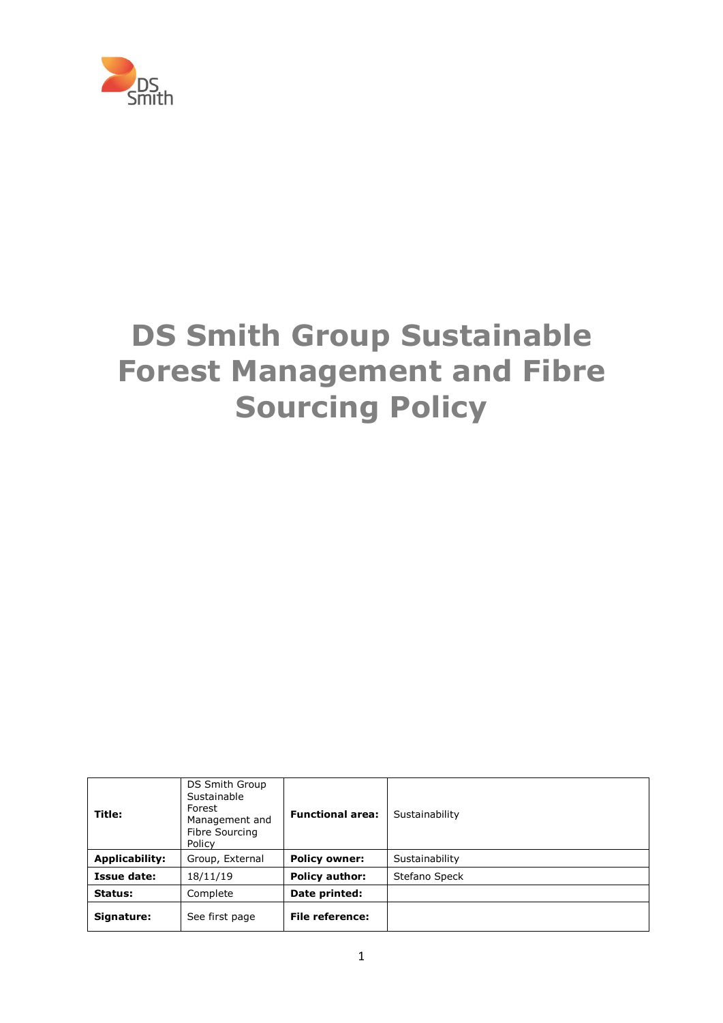

# **DS Smith Group Sustainable Forest Management and Fibre Sourcing Policy**

| Title:                | DS Smith Group<br>Sustainable<br>Forest<br>Management and<br>Fibre Sourcing<br>Policy | <b>Functional area:</b> | Sustainability |
|-----------------------|---------------------------------------------------------------------------------------|-------------------------|----------------|
| <b>Applicability:</b> | Group, External                                                                       | <b>Policy owner:</b>    | Sustainability |
| <b>Issue date:</b>    | 18/11/19                                                                              | Policy author:          | Stefano Speck  |
| Status:               | Complete                                                                              | Date printed:           |                |
| Signature:            | See first page                                                                        | <b>File reference:</b>  |                |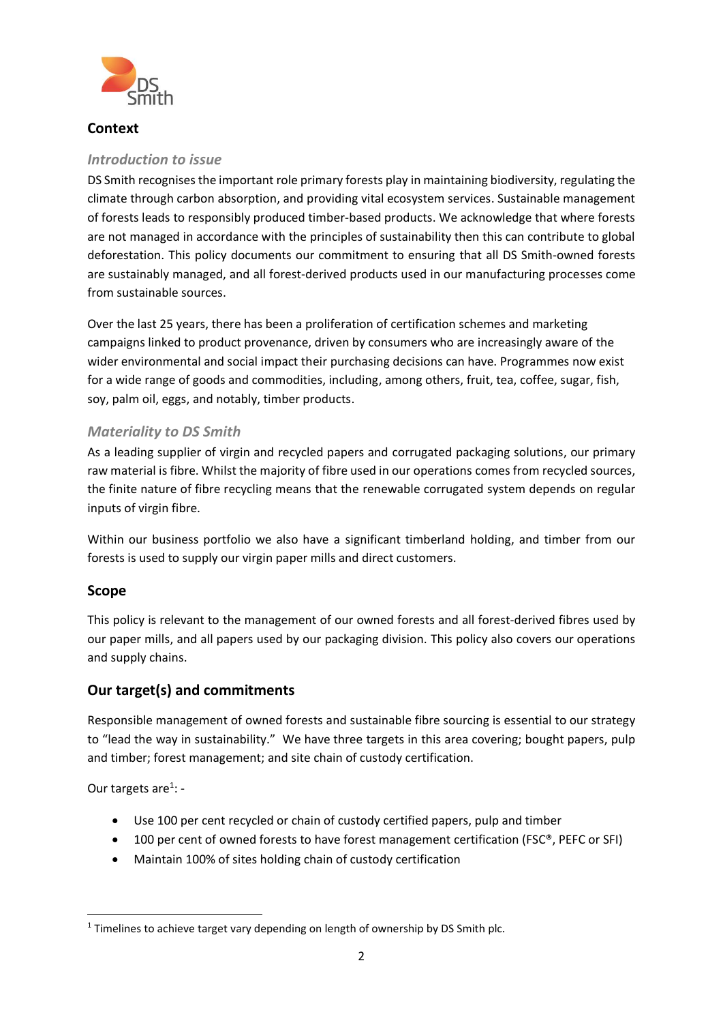

# **Context**

#### *Introduction to issue*

DS Smith recognises the important role primary forests play in maintaining biodiversity, regulating the climate through carbon absorption, and providing vital ecosystem services. Sustainable management of forests leads to responsibly produced timber-based products. We acknowledge that where forests are not managed in accordance with the principles of sustainability then this can contribute to global deforestation. This policy documents our commitment to ensuring that all DS Smith-owned forests are sustainably managed, and all forest-derived products used in our manufacturing processes come from sustainable sources.

Over the last 25 years, there has been a proliferation of certification schemes and marketing campaigns linked to product provenance, driven by consumers who are increasingly aware of the wider environmental and social impact their purchasing decisions can have. Programmes now exist for a wide range of goods and commodities, including, among others, fruit, tea, coffee, sugar, fish, soy, palm oil, eggs, and notably, timber products.

# *Materiality to DS Smith*

As a leading supplier of virgin and recycled papers and corrugated packaging solutions, our primary raw material is fibre. Whilst the majority of fibre used in our operations comes from recycled sources, the finite nature of fibre recycling means that the renewable corrugated system depends on regular inputs of virgin fibre.

Within our business portfolio we also have a significant timberland holding, and timber from our forests is used to supply our virgin paper mills and direct customers.

#### **Scope**

This policy is relevant to the management of our owned forests and all forest-derived fibres used by our paper mills, and all papers used by our packaging division. This policy also covers our operations and supply chains.

# **Our target(s) and commitments**

Responsible management of owned forests and sustainable fibre sourcing is essential to our strategy to "lead the way in sustainability." We have three targets in this area covering; bought papers, pulp and timber; forest management; and site chain of custody certification.

Our targets are<sup>1</sup>: -

1

- Use 100 per cent recycled or chain of custody certified papers, pulp and timber
- 100 per cent of owned forests to have forest management certification (FSC®, PEFC or SFI)
- Maintain 100% of sites holding chain of custody certification

<sup>&</sup>lt;sup>1</sup> Timelines to achieve target vary depending on length of ownership by DS Smith plc.